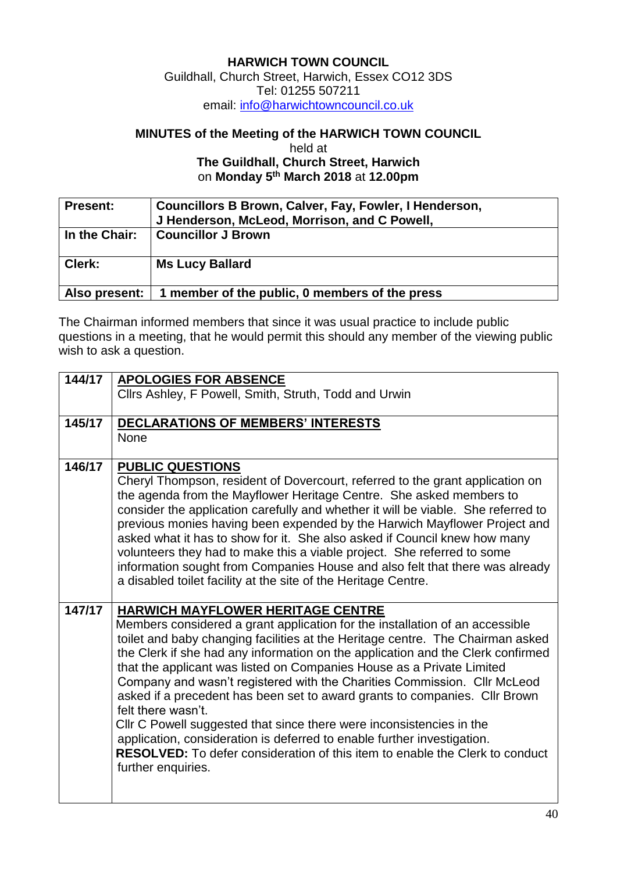## **HARWICH TOWN COUNCIL**

Guildhall, Church Street, Harwich, Essex CO12 3DS Tel: 01255 507211 email: [info@harwichtowncouncil.co.uk](mailto:info@harwichtowncouncil.co.uk)

## **MINUTES of the Meeting of the HARWICH TOWN COUNCIL**

held at

**The Guildhall, Church Street, Harwich** on **Monday 5 th March 2018** at **12.00pm**

| <b>Present:</b> | Councillors B Brown, Calver, Fay, Fowler, I Henderson,<br>J Henderson, McLeod, Morrison, and C Powell, |
|-----------------|--------------------------------------------------------------------------------------------------------|
| In the Chair:   | <b>Councillor J Brown</b>                                                                              |
| Clerk:          | <b>Ms Lucy Ballard</b>                                                                                 |
| Also present:   | 1 member of the public, 0 members of the press                                                         |

The Chairman informed members that since it was usual practice to include public questions in a meeting, that he would permit this should any member of the viewing public wish to ask a question.

| 144/17 | <b>APOLOGIES FOR ABSENCE</b>                                                                                                                                   |
|--------|----------------------------------------------------------------------------------------------------------------------------------------------------------------|
|        | Clirs Ashley, F Powell, Smith, Struth, Todd and Urwin                                                                                                          |
| 145/17 | <b>DECLARATIONS OF MEMBERS' INTERESTS</b>                                                                                                                      |
|        | None                                                                                                                                                           |
|        |                                                                                                                                                                |
| 146/17 | <b>PUBLIC QUESTIONS</b>                                                                                                                                        |
|        | Cheryl Thompson, resident of Dovercourt, referred to the grant application on                                                                                  |
|        | the agenda from the Mayflower Heritage Centre. She asked members to                                                                                            |
|        | consider the application carefully and whether it will be viable. She referred to<br>previous monies having been expended by the Harwich Mayflower Project and |
|        | asked what it has to show for it. She also asked if Council knew how many                                                                                      |
|        | volunteers they had to make this a viable project. She referred to some                                                                                        |
|        | information sought from Companies House and also felt that there was already                                                                                   |
|        | a disabled toilet facility at the site of the Heritage Centre.                                                                                                 |
| 147/17 | <b>HARWICH MAYFLOWER HERITAGE CENTRE</b>                                                                                                                       |
|        | Members considered a grant application for the installation of an accessible                                                                                   |
|        | toilet and baby changing facilities at the Heritage centre. The Chairman asked                                                                                 |
|        | the Clerk if she had any information on the application and the Clerk confirmed                                                                                |
|        | that the applicant was listed on Companies House as a Private Limited                                                                                          |
|        | Company and wasn't registered with the Charities Commission. Cllr McLeod                                                                                       |
|        | asked if a precedent has been set to award grants to companies. Cllr Brown<br>felt there wasn't.                                                               |
|        | CIIr C Powell suggested that since there were inconsistencies in the                                                                                           |
|        | application, consideration is deferred to enable further investigation.                                                                                        |
|        | <b>RESOLVED:</b> To defer consideration of this item to enable the Clerk to conduct                                                                            |
|        | further enquiries.                                                                                                                                             |
|        |                                                                                                                                                                |
|        |                                                                                                                                                                |